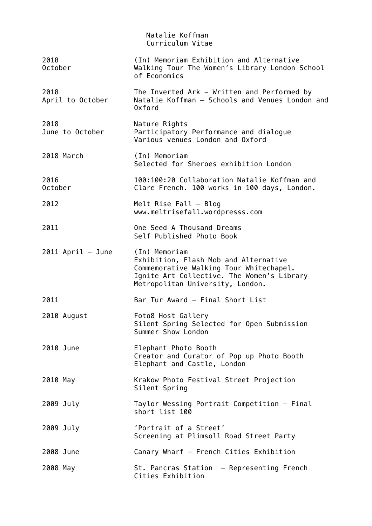|                          | Natalie Koffman<br>Curriculum Vitae                                                                                                                                                 |
|--------------------------|-------------------------------------------------------------------------------------------------------------------------------------------------------------------------------------|
| 2018<br>October          | (In) Memoriam Exhibition and Alternative<br>Walking Tour The Women's Library London School<br>of Economics                                                                          |
| 2018<br>April to October | The Inverted Ark - Written and Performed by<br>Natalie Koffman - Schools and Venues London and<br>Oxford                                                                            |
| 2018<br>June to October  | Nature Rights<br>Participatory Performance and dialogue<br>Various venues London and Oxford                                                                                         |
| 2018 March               | (In) Memoriam<br>Selected for Sheroes exhibition London                                                                                                                             |
| 2016<br>October          | 100:100:20 Collaboration Natalie Koffman and<br>Clare French. 100 works in 100 days, London.                                                                                        |
| 2012                     | Melt Rise Fall $-$ Blog<br>www.meltrisefall.wordpresss.com                                                                                                                          |
| 2011                     | One Seed A Thousand Dreams<br>Self Published Photo Book                                                                                                                             |
| 2011 April - June        | (In) Memoriam<br>Exhibition, Flash Mob and Alternative<br>Commemorative Walking Tour Whitechapel.<br>Ignite Art Collective. The Women's Library<br>Metropolitan University, London. |
| 2011                     | Bar Tur Award - Final Short List                                                                                                                                                    |
| 2010 August              | Foto8 Host Gallery<br>Silent Spring Selected for Open Submission<br>Summer Show London                                                                                              |
| 2010 June                | Elephant Photo Booth<br>Creator and Curator of Pop up Photo Booth<br>Elephant and Castle, London                                                                                    |
| 2010 May                 | Krakow Photo Festival Street Projection<br>Silent Spring                                                                                                                            |
| 2009 July                | Taylor Wessing Portrait Competition - Final<br>short list 100                                                                                                                       |
| 2009 July                | 'Portrait of a Street'<br>Screening at Plimsoll Road Street Party                                                                                                                   |
| 2008 June                | Canary Wharf - French Cities Exhibition                                                                                                                                             |
| 2008 May                 | St. Pancras Station - Representing French<br>Cities Exhibition                                                                                                                      |